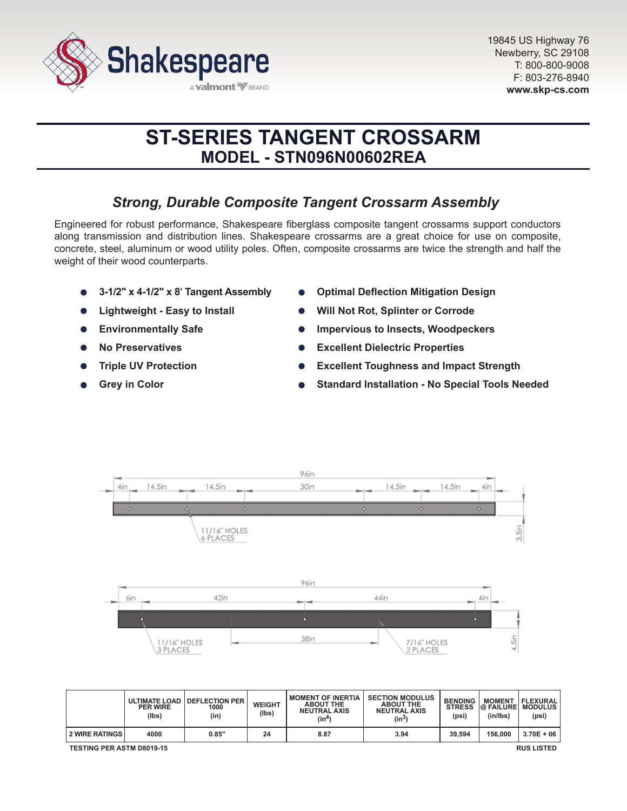

# **ST-SERIES TANGENT CROSSARM MODEL - STN096N00602REA**

# *Strong, Durable Composite Tangent Crossarm Assembly*

Engineered for robust performance, Shakespeare fiberglass composite tangent crossarms support conductors along transmission and distribution lines. Shakespeare crossarms are a great choice for use on composite, concrete, steel, aluminum or wood utility poles. Often, composite crossarms are twice the strength and half the weight of their wood counterparts.

- **3-1/2" x 4-1/2" x 8' Tangent Assembly**
- **Lightweight Easy to Install**
- **Environmentally Safe**  $\bullet$
- **No Preservatives**
- **Triple UV Protection**
- **Grey in Color**
- **Optimal Deflection Mitigation Design**
- **Will Not Rot, Splinter or Corrode**
- **Impervious to Insects, Woodpeckers**
- **Excellent Dielectric Properties**
- **Excellent Toughness and Impact Strength**
- **Standard Installation No Special Tools Needed**



|                                                       | <b>PER WIRE</b><br>(lbs) | ULTIMATE LOAD   DEFLECTION PER<br>1000<br>(in) | <b>WEIGHT</b><br>(Ibs) | <b>MOMENT OF INERTIA</b><br><b>ABOUT THE</b><br><b>NEUTRAL AXIS</b><br>(in4) | <b>SECTION MODULUS</b><br><b>ABOUT THE</b><br><b>NEUTRAL AXIS</b><br>$(in^3)$ | <b>BENDING</b><br><b>STRESS</b><br>(psi) | <b>MOMENT</b><br><b>@ FAILURE MODULUS</b><br>(in/lbs) | FLEXURAL<br>(psi) |
|-------------------------------------------------------|--------------------------|------------------------------------------------|------------------------|------------------------------------------------------------------------------|-------------------------------------------------------------------------------|------------------------------------------|-------------------------------------------------------|-------------------|
| <b>2 WIRE RATINGS</b>                                 | 4000                     | 0.85"                                          | 24                     | 8.87                                                                         | 3.94                                                                          | 39.594                                   | 156,000                                               | $3.70E + 06$      |
| <b>TESTING PER ASTM D8019-15</b><br><b>RUS LISTED</b> |                          |                                                |                        |                                                                              |                                                                               |                                          |                                                       |                   |